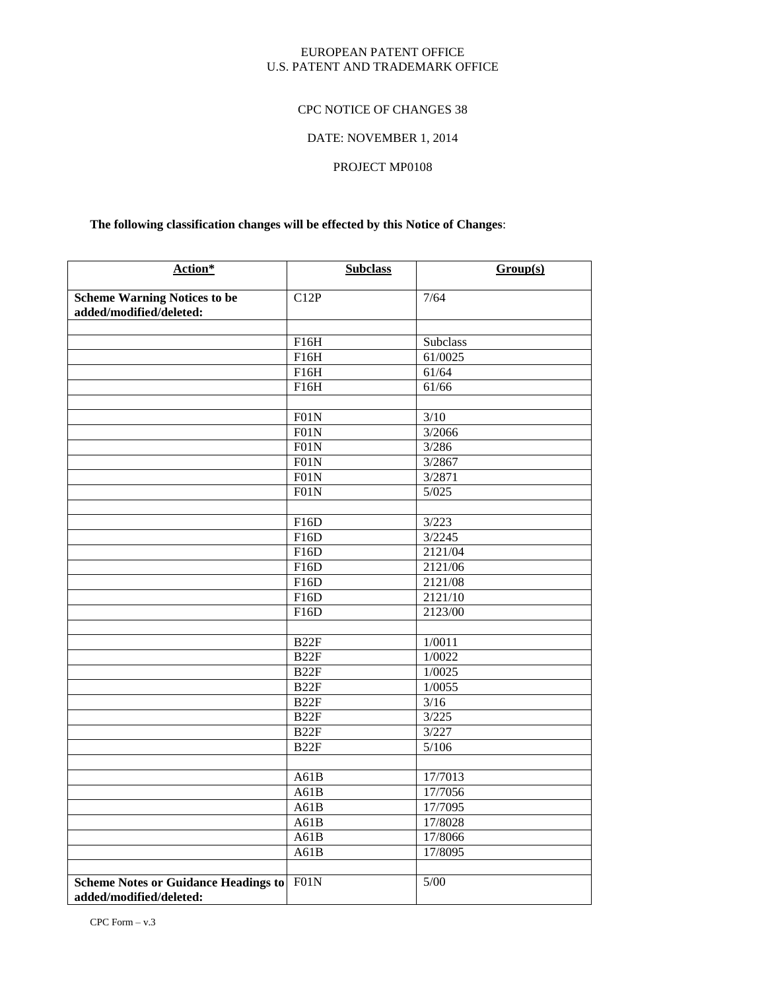#### EUROPEAN PATENT OFFICE U.S. PATENT AND TRADEMARK OFFICE

#### CPC NOTICE OF CHANGES 38

# DATE: NOVEMBER 1, 2014

## PROJECT MP0108

# **The following classification changes will be effected by this Notice of Changes**:

| Action*                                                                | <b>Subclass</b>  | Group(s) |
|------------------------------------------------------------------------|------------------|----------|
| <b>Scheme Warning Notices to be</b><br>added/modified/deleted:         | C12P             | 7/64     |
|                                                                        |                  |          |
|                                                                        | F16H             | Subclass |
|                                                                        | F16H             | 61/0025  |
|                                                                        | F16H             | 61/64    |
|                                                                        | F16H             | 61/66    |
|                                                                        |                  |          |
|                                                                        | F01N             | 3/10     |
|                                                                        | F01N             | 3/2066   |
|                                                                        | F01N             | 3/286    |
|                                                                        | F01N             | 3/2867   |
|                                                                        | F01N             | 3/2871   |
|                                                                        | F01N             | 5/025    |
|                                                                        |                  |          |
|                                                                        | F16D             | 3/223    |
|                                                                        | F16D             | 3/2245   |
|                                                                        | F16D             | 2121/04  |
|                                                                        | F16D             | 2121/06  |
|                                                                        | F16D             | 2121/08  |
|                                                                        | F16D             | 2121/10  |
|                                                                        | F16D             | 2123/00  |
|                                                                        |                  |          |
|                                                                        | B <sub>22F</sub> | 1/0011   |
|                                                                        | B22F             | 1/0022   |
|                                                                        | B22F             | 1/0025   |
|                                                                        | B22F             | 1/0055   |
|                                                                        | B22F             | $3/16$   |
|                                                                        | B <sub>22F</sub> | 3/225    |
|                                                                        | B <sub>22F</sub> | 3/227    |
|                                                                        | B <sub>22F</sub> | 5/106    |
|                                                                        |                  |          |
|                                                                        | A61B             | 17/7013  |
|                                                                        | A61B             | 17/7056  |
|                                                                        | A61B             | 17/7095  |
|                                                                        | A61B             | 17/8028  |
|                                                                        | A61B             | 17/8066  |
|                                                                        | A61B             | 17/8095  |
|                                                                        |                  |          |
| <b>Scheme Notes or Guidance Headings to</b><br>added/modified/deleted: | F01N             | $5/00$   |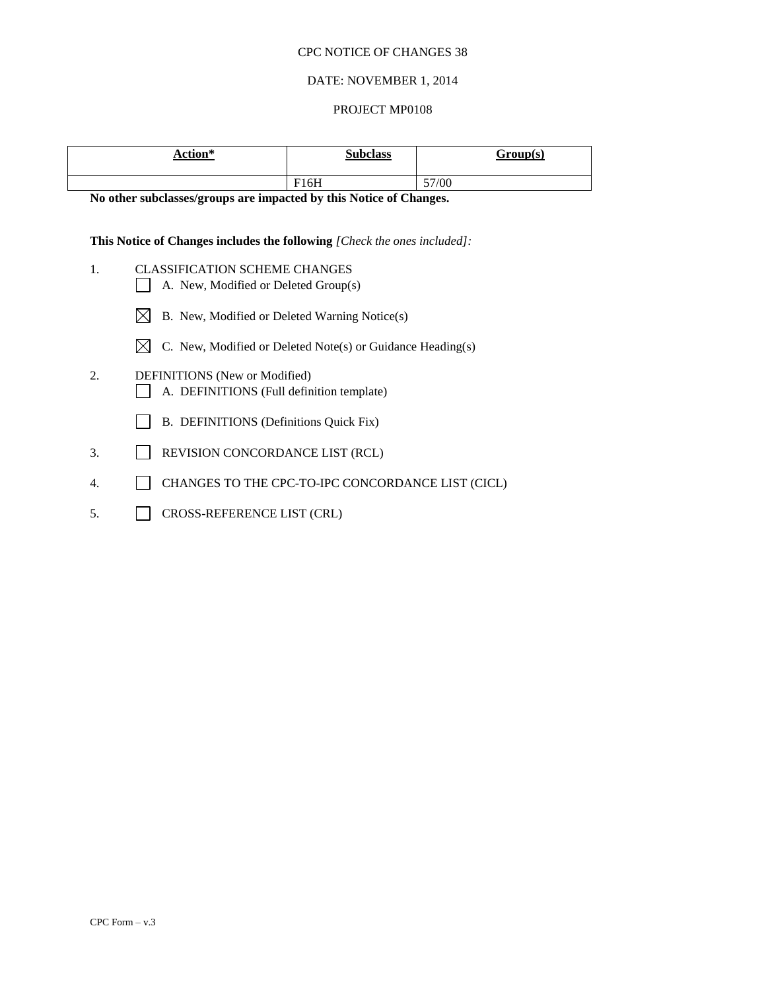#### DATE: NOVEMBER 1, 2014

#### PROJECT MP0108

| <b>Action*</b> | <b>Subclass</b> | <u>Group(s)</u> |
|----------------|-----------------|-----------------|
|                | F16H            | 57/00           |

**No other subclasses/groups are impacted by this Notice of Changes.**

#### **This Notice of Changes includes the following** *[Check the ones included]:*

- 1. CLASSIFICATION SCHEME CHANGES
	- A. New, Modified or Deleted Group(s)
	- $\boxtimes$  B. New, Modified or Deleted Warning Notice(s)
	- $\boxtimes$  C. New, Modified or Deleted Note(s) or Guidance Heading(s)
- 2. DEFINITIONS (New or Modified) A. DEFINITIONS (Full definition template)
	- B. DEFINITIONS (Definitions Quick Fix)
- 3. REVISION CONCORDANCE LIST (RCL)
- 4. CHANGES TO THE CPC-TO-IPC CONCORDANCE LIST (CICL)
- 5. CROSS-REFERENCE LIST (CRL)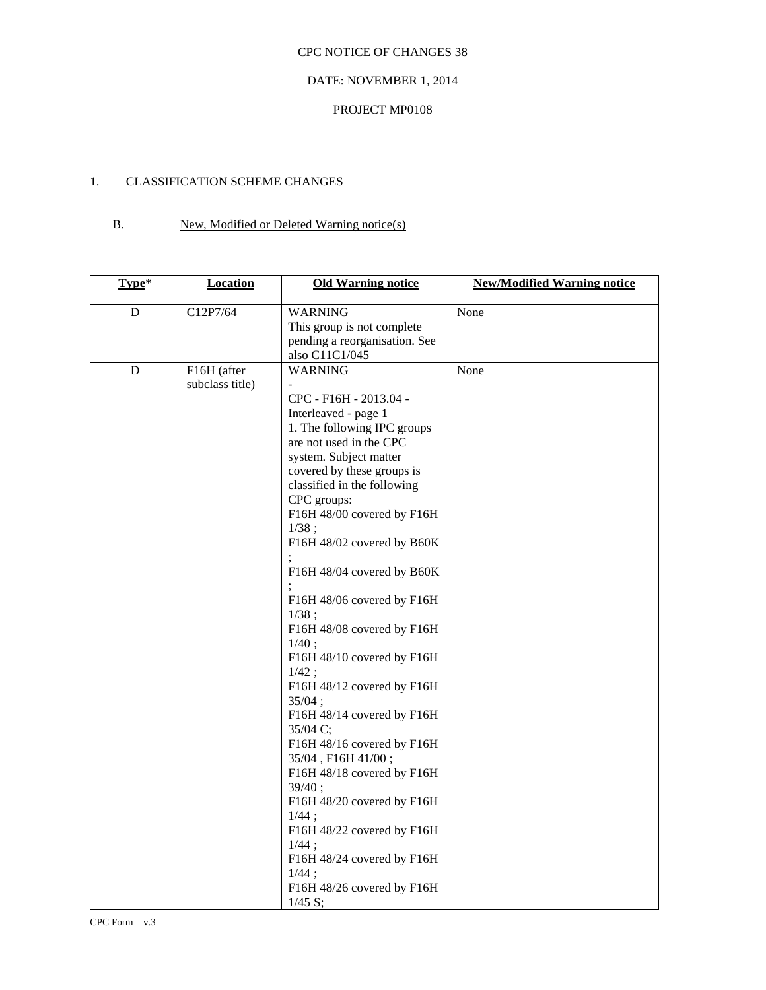#### DATE: NOVEMBER 1, 2014

#### PROJECT MP0108

## 1. CLASSIFICATION SCHEME CHANGES

# B. New, Modified or Deleted Warning notice(s)

| Type*     | <b>Location</b>                | <b>Old Warning notice</b>                                                                                                                                                                                                                                                                                                                                                                                                                                                                                                                                                                                                                                                                                                                                                                                        | <b>New/Modified Warning notice</b> |
|-----------|--------------------------------|------------------------------------------------------------------------------------------------------------------------------------------------------------------------------------------------------------------------------------------------------------------------------------------------------------------------------------------------------------------------------------------------------------------------------------------------------------------------------------------------------------------------------------------------------------------------------------------------------------------------------------------------------------------------------------------------------------------------------------------------------------------------------------------------------------------|------------------------------------|
| D         | C12P7/64                       | <b>WARNING</b><br>This group is not complete<br>pending a reorganisation. See<br>also C11C1/045                                                                                                                                                                                                                                                                                                                                                                                                                                                                                                                                                                                                                                                                                                                  | None                               |
| ${\bf D}$ | F16H (after<br>subclass title) | <b>WARNING</b><br>CPC - F16H - 2013.04 -<br>Interleaved - page 1<br>1. The following IPC groups<br>are not used in the CPC<br>system. Subject matter<br>covered by these groups is<br>classified in the following<br>CPC groups:<br>F16H 48/00 covered by F16H<br>1/38;<br>F16H 48/02 covered by B60K<br>F16H 48/04 covered by B60K<br>F16H 48/06 covered by F16H<br>1/38;<br>F16H 48/08 covered by F16H<br>1/40;<br>F16H 48/10 covered by F16H<br>$1/42$ :<br>F16H 48/12 covered by F16H<br>35/04;<br>F16H 48/14 covered by F16H<br>35/04 C;<br>F16H 48/16 covered by F16H<br>35/04, F16H 41/00;<br>F16H 48/18 covered by F16H<br>39/40;<br>F16H 48/20 covered by F16H<br>$1/44$ ;<br>F16H 48/22 covered by F16H<br>$1/44$ ;<br>F16H 48/24 covered by F16H<br>$1/44$ ;<br>F16H 48/26 covered by F16H<br>1/45 S; | None                               |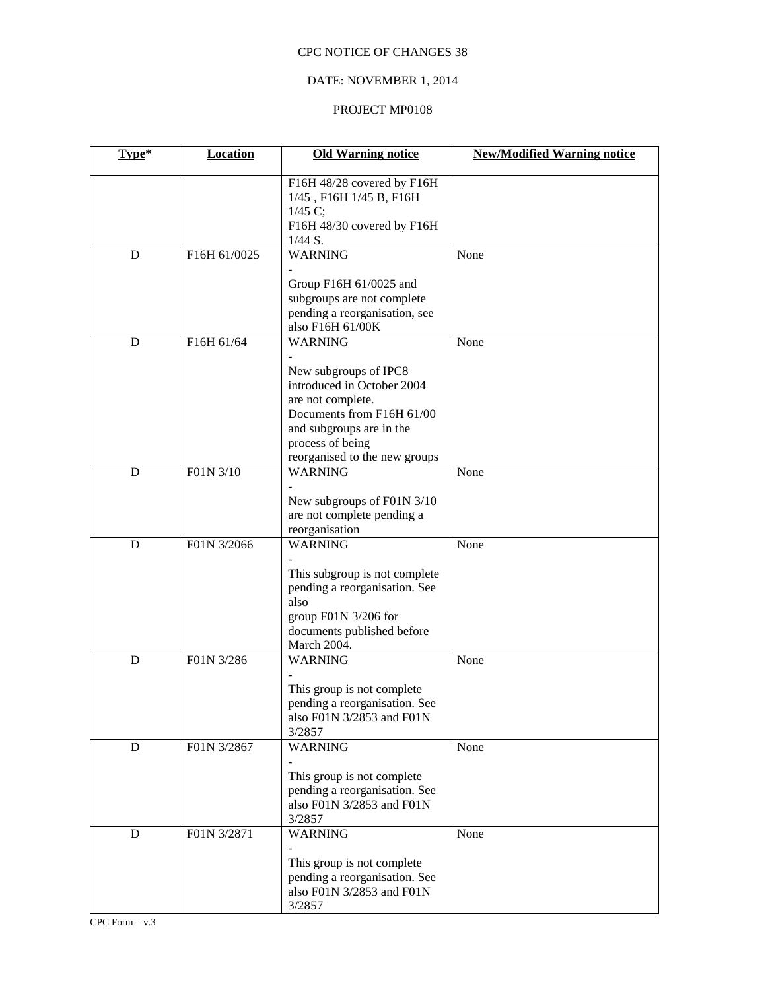# DATE: NOVEMBER 1, 2014

#### PROJECT MP0108

| Type*     | <b>Location</b> | <b>Old Warning notice</b>                                                                                                                                                              | <b>New/Modified Warning notice</b> |
|-----------|-----------------|----------------------------------------------------------------------------------------------------------------------------------------------------------------------------------------|------------------------------------|
|           |                 | F16H 48/28 covered by F16H<br>1/45, F16H 1/45 B, F16H<br>1/45 C;<br>F16H 48/30 covered by F16H<br>$1/44 S$ .                                                                           |                                    |
| D         | F16H 61/0025    | <b>WARNING</b>                                                                                                                                                                         | None                               |
|           |                 | Group F16H 61/0025 and<br>subgroups are not complete<br>pending a reorganisation, see<br>also F16H 61/00K                                                                              |                                    |
| D         | F16H 61/64      | <b>WARNING</b>                                                                                                                                                                         | None                               |
|           |                 | New subgroups of IPC8<br>introduced in October 2004<br>are not complete.<br>Documents from F16H 61/00<br>and subgroups are in the<br>process of being<br>reorganised to the new groups |                                    |
| D         | F01N 3/10       | <b>WARNING</b>                                                                                                                                                                         | None                               |
|           |                 | New subgroups of F01N 3/10<br>are not complete pending a<br>reorganisation                                                                                                             |                                    |
| D         | F01N 3/2066     | <b>WARNING</b>                                                                                                                                                                         | None                               |
|           |                 | This subgroup is not complete<br>pending a reorganisation. See<br>also<br>group F01N 3/206 for<br>documents published before<br>March 2004.                                            |                                    |
| D         | F01N 3/286      | <b>WARNING</b>                                                                                                                                                                         | None                               |
|           |                 | This group is not complete<br>pending a reorganisation. See<br>also F01N 3/2853 and F01N<br>3/2857                                                                                     |                                    |
| ${\bf D}$ | F01N 3/2867     | <b>WARNING</b>                                                                                                                                                                         | None                               |
|           |                 | This group is not complete<br>pending a reorganisation. See<br>also F01N 3/2853 and F01N<br>3/2857                                                                                     |                                    |
| ${\bf D}$ | F01N 3/2871     | <b>WARNING</b>                                                                                                                                                                         | None                               |
|           |                 | This group is not complete<br>pending a reorganisation. See<br>also F01N 3/2853 and F01N<br>3/2857                                                                                     |                                    |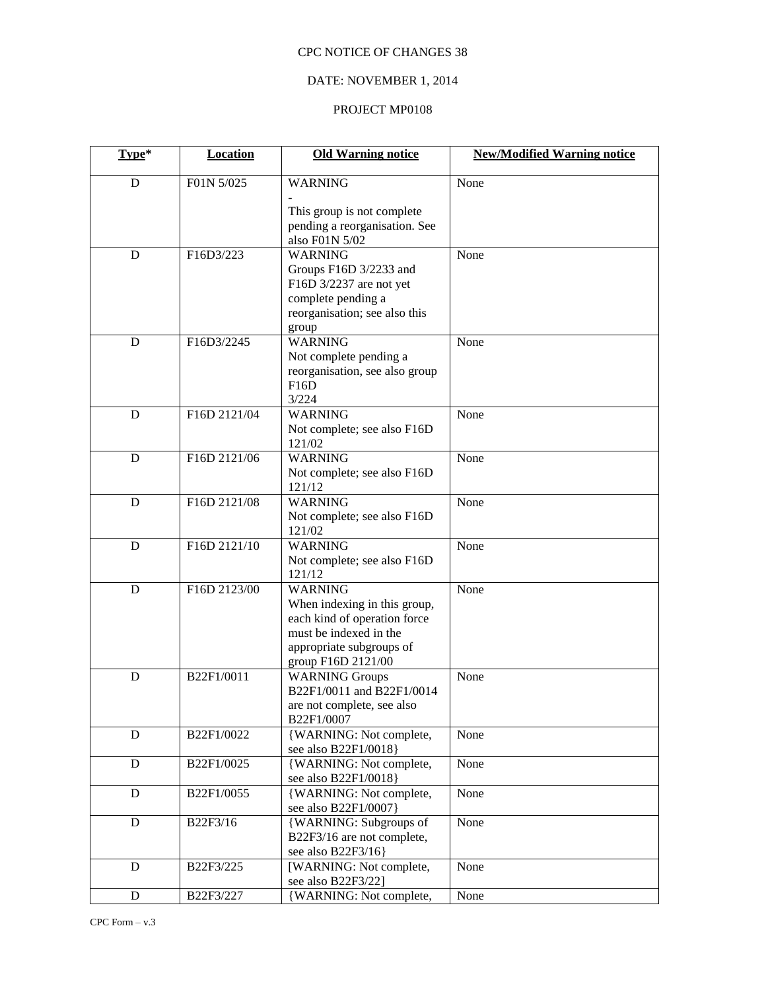## DATE: NOVEMBER 1, 2014

# PROJECT MP0108

| Type*       | <b>Location</b> | <b>Old Warning notice</b>                                                                                                                                  | <b>New/Modified Warning notice</b> |
|-------------|-----------------|------------------------------------------------------------------------------------------------------------------------------------------------------------|------------------------------------|
| $\mathbf D$ | F01N 5/025      | <b>WARNING</b>                                                                                                                                             | None                               |
|             |                 | This group is not complete<br>pending a reorganisation. See<br>also F01N 5/02                                                                              |                                    |
| D           | F16D3/223       | <b>WARNING</b><br>Groups F16D 3/2233 and<br>F16D 3/2237 are not yet<br>complete pending a<br>reorganisation; see also this<br>group                        | None                               |
| D           | F16D3/2245      | <b>WARNING</b><br>Not complete pending a<br>reorganisation, see also group<br>F16D<br>3/224                                                                | None                               |
| D           | F16D 2121/04    | <b>WARNING</b><br>Not complete; see also F16D<br>121/02                                                                                                    | None                               |
| D           | F16D 2121/06    | <b>WARNING</b><br>Not complete; see also F16D<br>121/12                                                                                                    | None                               |
| D           | F16D 2121/08    | <b>WARNING</b><br>Not complete; see also F16D<br>121/02                                                                                                    | None                               |
| D           | F16D 2121/10    | <b>WARNING</b><br>Not complete; see also F16D<br>121/12                                                                                                    | None                               |
| D           | F16D 2123/00    | <b>WARNING</b><br>When indexing in this group,<br>each kind of operation force<br>must be indexed in the<br>appropriate subgroups of<br>group F16D 2121/00 | None                               |
| D           | B22F1/0011      | <b>WARNING Groups</b><br>B22F1/0011 and B22F1/0014<br>are not complete, see also<br>B22F1/0007                                                             | None                               |
| D           | B22F1/0022      | {WARNING: Not complete,<br>see also B22F1/0018}                                                                                                            | None                               |
| D           | B22F1/0025      | {WARNING: Not complete,<br>see also B22F1/0018}                                                                                                            | None                               |
| D           | B22F1/0055      | {WARNING: Not complete,<br>see also B22F1/0007}                                                                                                            | None                               |
| D           | B22F3/16        | {WARNING: Subgroups of<br>B22F3/16 are not complete,<br>see also B22F3/16}                                                                                 | None                               |
| D           | B22F3/225       | [WARNING: Not complete,<br>see also B22F3/22]                                                                                                              | None                               |
| $\mathbf D$ | B22F3/227       | {WARNING: Not complete,                                                                                                                                    | None                               |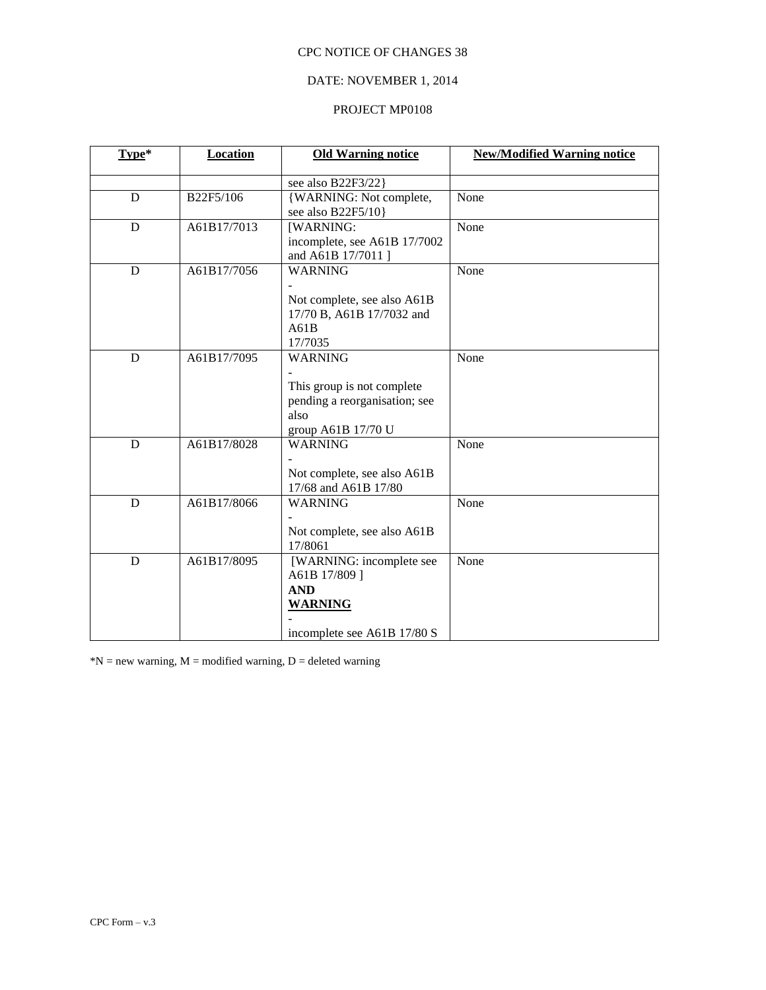# DATE: NOVEMBER 1, 2014

#### PROJECT MP0108

| Type*       | <b>Location</b> | <b>Old Warning notice</b>                                                                                   | <b>New/Modified Warning notice</b> |
|-------------|-----------------|-------------------------------------------------------------------------------------------------------------|------------------------------------|
|             |                 | see also B22F3/22}                                                                                          |                                    |
| D           | B22F5/106       | {WARNING: Not complete,<br>see also B22F5/10}                                                               | None                               |
| D           | A61B17/7013     | [WARNING:<br>incomplete, see A61B 17/7002<br>and A61B 17/7011 ]                                             | None                               |
| $\mathbf D$ | A61B17/7056     | <b>WARNING</b><br>Not complete, see also A61B<br>17/70 B, A61B 17/7032 and<br>A61B<br>17/7035               | None                               |
| D           | A61B17/7095     | <b>WARNING</b><br>This group is not complete<br>pending a reorganisation; see<br>also<br>group A61B 17/70 U | None                               |
| D           | A61B17/8028     | <b>WARNING</b><br>Not complete, see also A61B<br>17/68 and A61B 17/80                                       | None                               |
| D           | A61B17/8066     | <b>WARNING</b><br>Not complete, see also A61B<br>17/8061                                                    | None                               |
| D           | A61B17/8095     | [WARNING: incomplete see<br>A61B 17/809]<br><b>AND</b><br><b>WARNING</b><br>incomplete see A61B 17/80 S     | None                               |

 $N = new warning, M = modified warning, D = deleted warning$